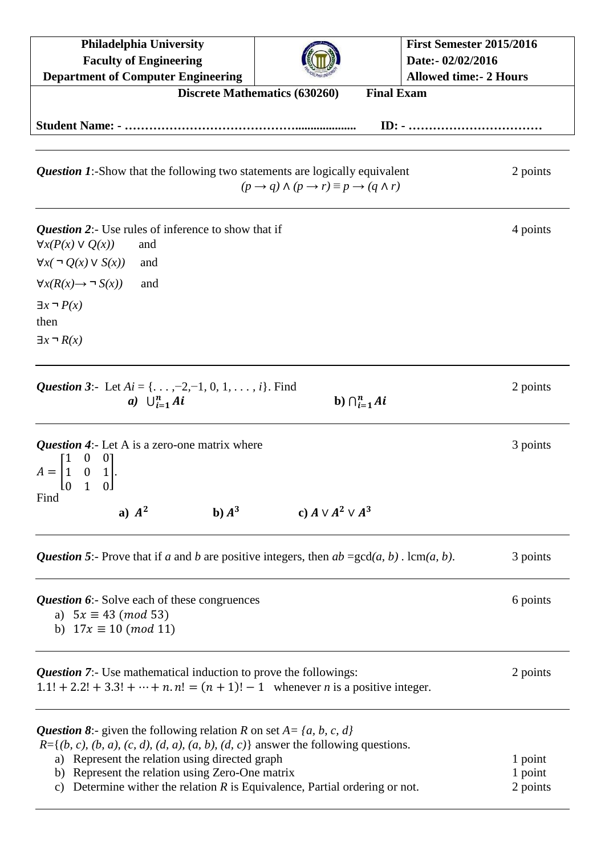| <b>Philadelphia University</b><br><b>Faculty of Engineering</b>                                                                                                                                                                                                                                                                                                    |                                                                              | First Semester 2015/2016<br>Date:- 02/02/2016<br><b>Allowed time:- 2 Hours</b> |
|--------------------------------------------------------------------------------------------------------------------------------------------------------------------------------------------------------------------------------------------------------------------------------------------------------------------------------------------------------------------|------------------------------------------------------------------------------|--------------------------------------------------------------------------------|
| <b>Department of Computer Engineering</b>                                                                                                                                                                                                                                                                                                                          | <b>Discrete Mathematics (630260)</b><br><b>Final Exam</b>                    |                                                                                |
|                                                                                                                                                                                                                                                                                                                                                                    |                                                                              |                                                                                |
|                                                                                                                                                                                                                                                                                                                                                                    |                                                                              |                                                                                |
| <b>Question 1:</b> -Show that the following two statements are logically equivalent                                                                                                                                                                                                                                                                                | $(p \rightarrow q) \land (p \rightarrow r) \equiv p \rightarrow (q \land r)$ | 2 points                                                                       |
| <b>Question 2:</b> Use rules of inference to show that if<br>$\forall x(P(x) \vee Q(x))$<br>and                                                                                                                                                                                                                                                                    |                                                                              | 4 points                                                                       |
| $\forall x (\neg Q(x) \vee S(x))$<br>and                                                                                                                                                                                                                                                                                                                           |                                                                              |                                                                                |
| $\forall x(R(x) \rightarrow \neg S(x))$<br>and                                                                                                                                                                                                                                                                                                                     |                                                                              |                                                                                |
| $\exists x \neg P(x)$                                                                                                                                                                                                                                                                                                                                              |                                                                              |                                                                                |
| then                                                                                                                                                                                                                                                                                                                                                               |                                                                              |                                                                                |
| $\exists x \neg R(x)$                                                                                                                                                                                                                                                                                                                                              |                                                                              |                                                                                |
|                                                                                                                                                                                                                                                                                                                                                                    |                                                                              |                                                                                |
| <b>Question 3:-</b> Let $Ai = \{, -2, -1, 0, 1, , i\}$ . Find<br>a) $\bigcup_{i=1}^n Ai$                                                                                                                                                                                                                                                                           | b) $\bigcap_{i=1}^n Ai$                                                      | 2 points                                                                       |
| <b>Question 4:</b> Let A is a zero-one matrix where<br>$A = \begin{bmatrix} 1 & 0 & 1 \\ 0 & 1 & 0 \end{bmatrix}$                                                                                                                                                                                                                                                  |                                                                              | 3 points                                                                       |
| Find<br>a) $A^2$<br>b) $A^3$                                                                                                                                                                                                                                                                                                                                       | c) $A \vee A^2 \vee A^3$                                                     |                                                                                |
| <b>Question 5:</b> - Prove that if a and b are positive integers, then $ab = \gcd(a, b)$ . $\operatorname{lcm}(a, b)$ .                                                                                                                                                                                                                                            |                                                                              | 3 points                                                                       |
| Question 6:- Solve each of these congruences<br>a) $5x \equiv 43 \pmod{53}$<br>b) $17x \equiv 10 \pmod{11}$                                                                                                                                                                                                                                                        |                                                                              | 6 points                                                                       |
| <b>Question 7:</b> Use mathematical induction to prove the followings:<br>$1.1! + 2.2! + 3.3! + \cdots + n. n! = (n + 1)! - 1$ whenever <i>n</i> is a positive integer.                                                                                                                                                                                            |                                                                              | 2 points                                                                       |
| <b>Question 8:</b> - given the following relation R on set $A = \{a, b, c, d\}$<br>$R = \{(b, c), (b, a), (c, d), (d, a), (a, b), (d, c)\}\$ answer the following questions.<br>a) Represent the relation using directed graph<br>b) Represent the relation using Zero-One matrix<br>c) Determine wither the relation $R$ is Equivalence, Partial ordering or not. |                                                                              | 1 point<br>1 point<br>2 points                                                 |